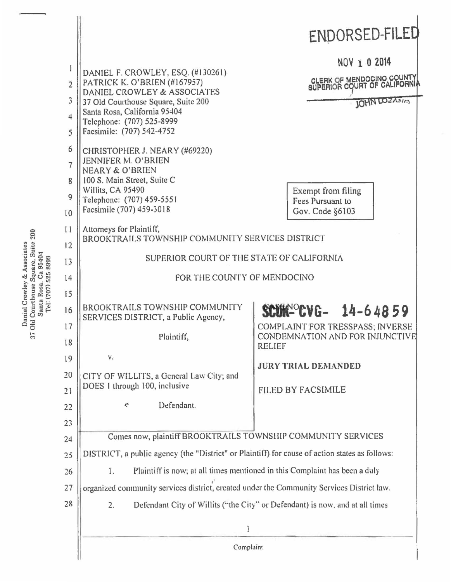|                                                                                                                                                 |                                     |                                                                                                                                                                                                                                   | ENDORSED-FILED                                                   |  |
|-------------------------------------------------------------------------------------------------------------------------------------------------|-------------------------------------|-----------------------------------------------------------------------------------------------------------------------------------------------------------------------------------------------------------------------------------|------------------------------------------------------------------|--|
| 200<br>Courthouse Square, Suite<br>Daniel Crowley & Associates<br>95404<br>Tel: (707) 525-8999<br>ී<br>Rosa,<br>Santa<br>Old<br>$\overline{37}$ | $\overline{2}$<br>3<br>4<br>5       | DANIEL F. CROWLEY, ESQ. (#130261)<br>PATRICK K. O'BRIEN (#167957)<br>DANIEL CROWLEY & ASSOCIATES<br>37 Old Courthouse Square, Suite 200<br>Santa Rosa, California 95404<br>Telephone: (707) 525-8999<br>Facsimile: (707) 542-4752 | NOV 1 0 2014<br>OLERK OF MENDOCINO COUNTY<br><b>JOHN LOZANIA</b> |  |
|                                                                                                                                                 | 6<br>$\overline{7}$<br>8<br>9<br>10 | CHRISTOPHER J. NEARY (#69220)<br>JENNIFER M. O'BRIEN<br>NEARY & O'BRIEN<br>100 S. Main Street, Suite C<br>Willits, CA 95490<br>Telephone: (707) 459-5551<br>Facsimile (707) 459-3018                                              | Exempt from filing<br>Fees Pursuant to<br>Gov. Code §6103        |  |
|                                                                                                                                                 | 11<br>12                            | Attorneys for Plaintiff,<br>BROOKTRAILS TOWNSHIP COMMUNITY SERVICES DISTRICT                                                                                                                                                      |                                                                  |  |
|                                                                                                                                                 | 13                                  | SUPERIOR COURT OF THE STATE OF CALIFORNIA                                                                                                                                                                                         |                                                                  |  |
|                                                                                                                                                 | 4                                   | FOR THE COUNTY OF MENDOCINO                                                                                                                                                                                                       |                                                                  |  |
|                                                                                                                                                 | 15                                  |                                                                                                                                                                                                                                   |                                                                  |  |
|                                                                                                                                                 | 16                                  | <b>BROOKTRAILS TOWNSHIP COMMUNITY</b><br>SERVICES DISTRICT, a Public Agency,                                                                                                                                                      | $$CUM^{\circ}$ $CVG-14-64859$                                    |  |
|                                                                                                                                                 | 17                                  |                                                                                                                                                                                                                                   | <b>COMPLAINT FOR TRESSPASS: INVERSE</b>                          |  |
|                                                                                                                                                 | 18                                  | Plaintiff,                                                                                                                                                                                                                        | CONDEMNATION AND FOR INJUNCTIVE<br><b>RELIEF</b>                 |  |
|                                                                                                                                                 | 19                                  | ν.                                                                                                                                                                                                                                | <b>JURY TRIAL DEMANDED</b>                                       |  |
|                                                                                                                                                 | 20                                  | CITY OF WILLITS, a General Law City; and                                                                                                                                                                                          |                                                                  |  |
|                                                                                                                                                 | 21                                  | DOES 1 through 100, inclusive                                                                                                                                                                                                     | <b>FILED BY FACSIMILE</b>                                        |  |
|                                                                                                                                                 | 22                                  | Defendant.<br>¢                                                                                                                                                                                                                   |                                                                  |  |
|                                                                                                                                                 | 23                                  |                                                                                                                                                                                                                                   |                                                                  |  |
|                                                                                                                                                 | 24                                  | Comes now, plaintiff BROOKTRAILS TOWNSHIP COMMUNITY SERVICES                                                                                                                                                                      |                                                                  |  |
|                                                                                                                                                 | 25                                  | DISTRICT, a public agency (the "District" or Plaintiff) for cause of action states as follows:                                                                                                                                    |                                                                  |  |
|                                                                                                                                                 | 26                                  | Plaintiff is now; at all times mentioned in this Complaint has been a duly<br>1.                                                                                                                                                  |                                                                  |  |
|                                                                                                                                                 | 27                                  | organized community services district, created under the Community Services District law.                                                                                                                                         |                                                                  |  |
|                                                                                                                                                 | 28                                  | Defendant City of Willits ("the City" or Defendant) is now, and at all times<br>2.                                                                                                                                                |                                                                  |  |
|                                                                                                                                                 |                                     |                                                                                                                                                                                                                                   |                                                                  |  |
|                                                                                                                                                 |                                     | Complaint                                                                                                                                                                                                                         |                                                                  |  |
|                                                                                                                                                 |                                     |                                                                                                                                                                                                                                   |                                                                  |  |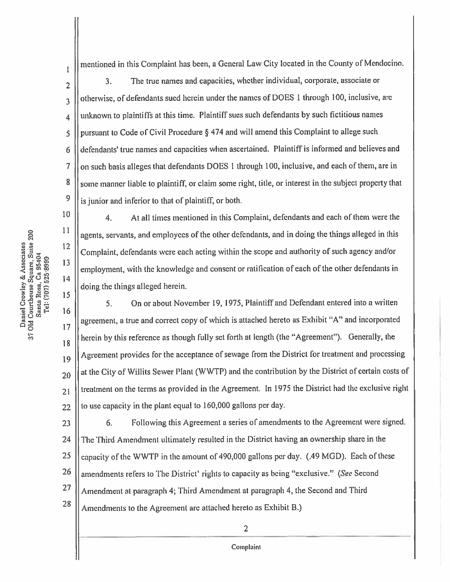37 Old Courthouse Square, Suite 200 Daniel Crowley & Associates Santa Rosa, Ca 95404<br>Tel: (707) 525-8999  $\bar{\rm I}$ 

 $\overline{2}$ 

 $\overline{3}$ 

 $\overline{4}$ 

5

6

 $\overline{7}$ 

8

9

10

11

 $12$ 

13

 $14$ 

15

mentioned in this Complaint has been, a General Law City located in the County of Mendocino.

The true names and capacities, whether individual, corporate, associate or  $3.$ otherwise, of defendants sued herein under the names of DOES 1 through 100, inclusive, are unknown to plaintiffs at this time. Plaintiff sues such defendants by such fictitious names pursuant to Code of Civil Procedure  $\S 474$  and will amend this Complaint to allege such defendants' true names and capacities when ascertained. Plaintiff is informed and believes and on such basis alleges that defendants DOES 1 through 100, inclusive, and each of them, are in some manner liable to plaintiff, or claim some right, title, or interest in the subject property that is junior and inferior to that of plaintiff, or both.

 $\overline{4}$ . At all times mentioned in this Complaint, defendants and each of them were the agents, servants, and employees of the other defendants, and in doing the things alleged in this Complaint, defendants were each acting within the scope and authority of such agency and/or employment, with the knowledge and consent or ratification of each of the other defendants in doing the things alleged herein.

On or about November 19, 1975, Plaintiff and Defendant entered into a written 5. 16 agreement, a true and correct copy of which is attached hereto as Exhibit "A" and incorporated 17 herein by this reference as though fully set forth at length (the "Agreement"). Generally, the 18 Agreement provides for the acceptance of sewage from the District for treatment and processing 19 at the City of Willits Sewer Plant (WWTP) and the contribution by the District of certain costs of 20 treatment on the terms as provided in the Agreement. In 1975 the District had the exclusive right  $21$ to use capacity in the plant equal to 160,000 gallons per day. 22

Following this Agreement a series of amendments to the Agreement were signed. 6. 23 The Third Amendment ultimately resulted in the District having an ownership share in the 24 25 capacity of the WWTP in the amount of 490,000 gallons per day. (.49 MGD). Each of these 26 amendments refers to The District' rights to capacity as being "exclusive." (See Second 27 Amendment at paragraph 4; Third Amendment at paragraph 4, the Second and Third 28 Amendments to the Agreement are attached hereto as Exhibit B.)

 $\overline{2}$ 

Complaint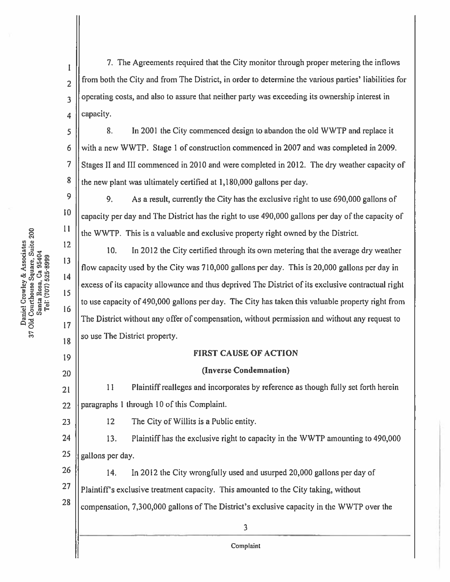7. The Agreements required that the City monitor through proper metering the inflows from both the City and from The District, in order to determine the various parties' liabilities for operating costs, and also to assure that neither party was exceeding its ownership interest in capacity.

8. In 2001 the City commenced design to abandon the old WWTP and replace it with a new WWTP. Stage 1 of construction commenced in 2007 and was completed in 2009. Stages II and III commenced in 2010 and were completed in 2012. The dry weather capacity of the new plant was ultimately certified at 1,180,000 gallons per day.

9. As a result, currently the City has the exclusive right to use 690,000 gallons of 10 capacity per day and The District has the right to use 490,000 gallons per day of the capacity of the WWTP. This is a valuable and exclusive property right owned by the District.

 $10.$ In 2012 the City certified through its own metering that the average dry weather flow capacity used by the City was 710,000 gallons per day. This is 20,000 gallons per day in excess of its capacity allowance and thus deprived The District of its exclusive contractual right to use capacity of 490,000 gallons per day. The City has taken this valuable property right from The District without any offer of compensation, without permission and without any request to so use The District property.

## **FIRST CAUSE OF ACTION**

## (Inverse Condemnation)

11 Plaintiff realleges and incorporates by reference as though fully set forth herein 21 paragraphs 1 through 10 of this Complaint.  $22$ 

12 The City of Willits is a Public entity.

24 13. Plaintiff has the exclusive right to capacity in the WWTP amounting to 490,000 25 gallons per day.

26 14. In 2012 the City wrongfully used and usurped 20,000 gallons per day of 27 Plaintiff's exclusive treatment capacity. This amounted to the City taking, without 28

compensation, 7,300,000 gallons of The District's exclusive capacity in the WWTP over the

Daniel Crowley & Associates<br>37 Old Courthouse Square, Suite 200 Santa Rosa, Ca 95404<br>Tel: (707) 525-8999  $\mathbf{I}$ 

 $\overline{2}$ 

 $\overline{3}$ 

4

 $\overline{S}$ 

6

 $\overline{7}$ 

8

9

11

12

13

 $14$ 

15

16

 $17$ 

18

19

 $20$ 

23

Complaint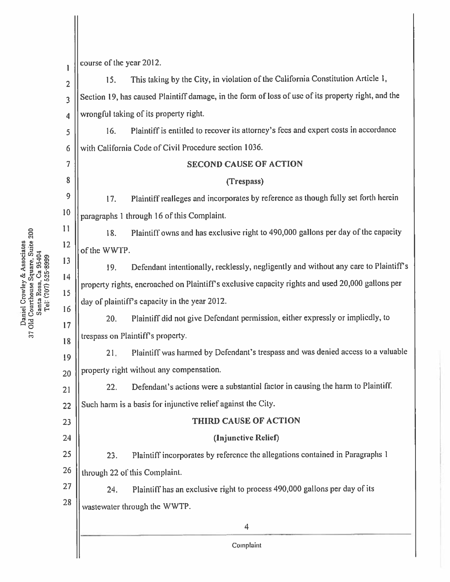course of the year 2012.  $\mathbf{1}$ This taking by the City, in violation of the California Constitution Article 1,  $15.$  $\overline{2}$ Section 19, has caused Plaintiff damage, in the form of loss of use of its property right, and the 3 wrongful taking of its property right.  $\overline{\mathbf{4}}$ Plaintiff is entitled to recover its attorney's fees and expert costs in accordance 16. 5 with California Code of Civil Procedure section 1036. 6  $\overline{7}$ **SECOND CAUSE OF ACTION** 8 (Trespass) 9 Plaintiff realleges and incorporates by reference as though fully set forth herein 17. 10 paragraphs 1 through 16 of this Complaint. 11 Plaintiff owns and has exclusive right to 490,000 gallons per day of the capacity 18. 12 of the WWTP. 13 Defendant intentionally, recklessly, negligently and without any care to Plaintiff's 19. 14 property rights, encroached on Plaintiff's exclusive capacity rights and used 20,000 gallons per 15 day of plaintiff's capacity in the year 2012. 16 Plaintiff did not give Defendant permission, either expressly or impliedly, to  $20.$ 17 trespass on Plaintiff's property. 18 Plaintiff was harmed by Defendant's trespass and was denied access to a valuable  $21.$ 19 property right without any compensation.  $20$ Defendant's actions were a substantial factor in causing the harm to Plaintiff.  $22.$  $21$ Such harm is a basis for injunctive relief against the City.  $22$ THIRD CAUSE OF ACTION 23 24 (Injunctive Relief) Plaintiff incorporates by reference the allegations contained in Paragraphs 1 25  $23.$ 26 through 22 of this Complaint. 27 Plaintiff has an exclusive right to process 490,000 gallons per day of its 24. 28 wastewater through the WWTP.  $\overline{4}$ Complaint

37 Old Courthouse Square, Suite 200 Daniel Crowley & Associates Santa Rosa, Ca 95404<br>Tel: (707) 525-8999